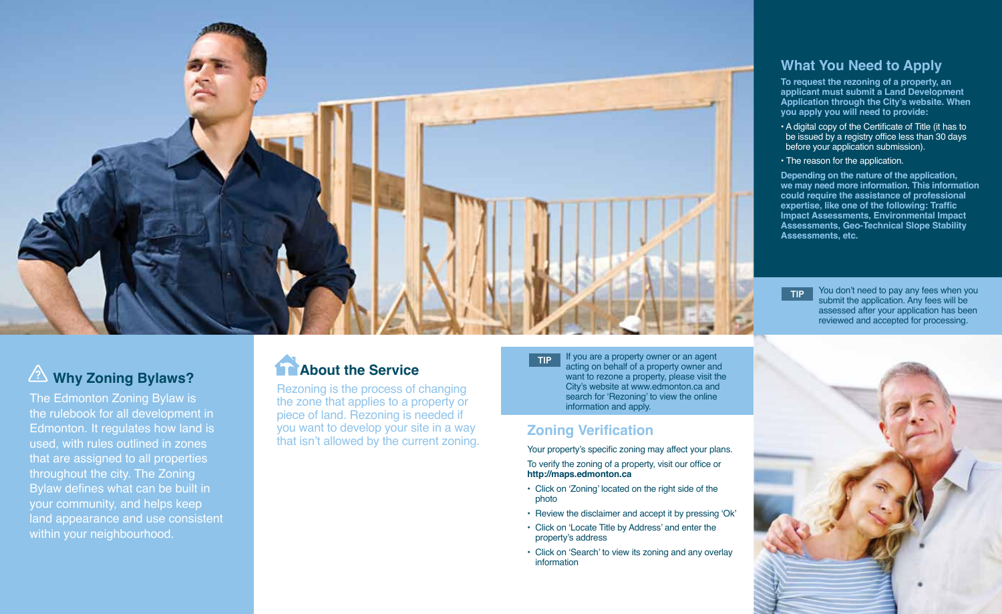

## **What You Need to Apply**

**To request the rezoning of a property, an applicant must submit a Land Development Application through the City's website. When you apply you will need to provide:**

- A digital copy of the Certificate of Title (it has to be issued by a registry office less than 30 days before your application submission).
- The reason for the application.

**Depending on the nature of the application, we may need more information. This information could require the assistance of professional expertise, like one of the following: Traffic Impact Assessments, Environmental Impact Assessments, Geo-Technical Slope Stability Assessments, etc.** 

TIP You don't need to pay any fees when you submit the application. Any fees will be assessed after your application has been reviewed and accepted for processing.

# **EXAMPLE 20 Why Zoning Bylaws? Consumer Service**

The Edmonton Zoning Bylaw is the rulebook for all development in Edmonton. It regulates how land is used, with rules outlined in zones that are assigned to all properties throughout the city. The Zoning Bylaw defines what can be built in your community, and helps keep land appearance and use consistent within your neighbourhood.

Rezoning is the process of changing the zone that applies to a property or piece of land. Rezoning is needed if you want to develop your site in a way that isn't allowed by the current zoning. TIP If you are a property owner or an agent acting on behalf of a property owner and want to rezone a property, please visit the City's website at www.edmonton.ca and search for 'Rezoning' to view the online information and apply.

# **Zoning Verification**

Your property's specific zoning may affect your plans. To verify the zoning of a property, visit our office or **http://maps.edmonton.ca**

- Click on 'Zoning' located on the right side of the photo
- Review the disclaimer and accept it by pressing 'Ok'
- Click on 'Locate Title by Address' and enter the property's address
- Click on 'Search' to view its zoning and any overlay information